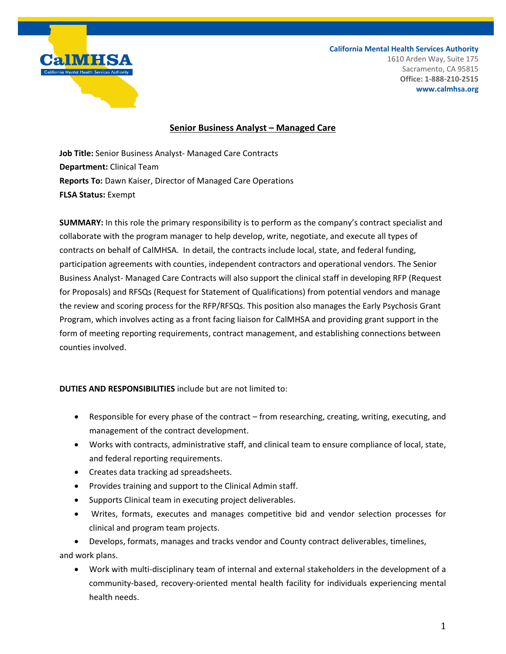

**California Mental Health Services Authority** 1610 Arden Way, Suite 175 Sacramento, CA 95815 **Office: 1-888-210-2515**

#### **www.calmhsa.org**

### **Senior Business Analyst – Managed Care**

**Job Title:** Senior Business Analyst- Managed Care Contracts **Department:** Clinical Team **Reports To:** Dawn Kaiser, Director of Managed Care Operations **FLSA Status:** Exempt

**SUMMARY:** In this role the primary responsibility is to perform as the company's contract specialist and collaborate with the program manager to help develop, write, negotiate, and execute all types of contracts on behalf of CalMHSA. In detail, the contracts include local, state, and federal funding, participation agreements with counties, independent contractors and operational vendors. The Senior Business Analyst- Managed Care Contracts will also support the clinical staff in developing RFP (Request for Proposals) and RFSQs (Request for Statement of Qualifications) from potential vendors and manage the review and scoring process for the RFP/RFSQs. This position also manages the Early Psychosis Grant Program, which involves acting as a front facing liaison for CalMHSA and providing grant support in the form of meeting reporting requirements, contract management, and establishing connections between counties involved.

### **DUTIES AND RESPONSIBILITIES** include but are not limited to:

- Responsible for every phase of the contract from researching, creating, writing, executing, and management of the contract development.
- Works with contracts, administrative staff, and clinical team to ensure compliance of local, state, and federal reporting requirements.
- Creates data tracking ad spreadsheets.
- Provides training and support to the Clinical Admin staff.
- Supports Clinical team in executing project deliverables.
- Writes, formats, executes and manages competitive bid and vendor selection processes for clinical and program team projects.

• Develops, formats, manages and tracks vendor and County contract deliverables, timelines,

and work plans.

• Work with multi-disciplinary team of internal and external stakeholders in the development of a community-based, recovery-oriented mental health facility for individuals experiencing mental health needs.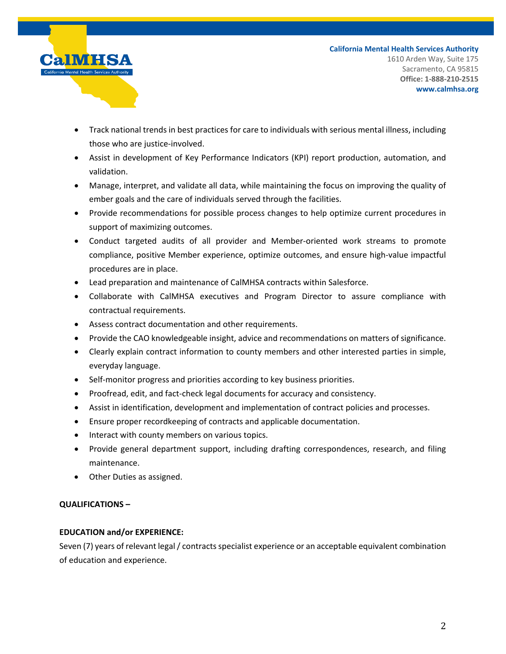

**California Mental Health Services Authority** 1610 Arden Way, Suite 175 Sacramento, CA 95815 **Office: 1-888-210-2515 www.calmhsa.org**

- Track national trends in best practices for care to individuals with serious mental illness, including those who are justice-involved.
- Assist in development of Key Performance Indicators (KPI) report production, automation, and validation.
- Manage, interpret, and validate all data, while maintaining the focus on improving the quality of ember goals and the care of individuals served through the facilities.
- Provide recommendations for possible process changes to help optimize current procedures in support of maximizing outcomes.
- Conduct targeted audits of all provider and Member-oriented work streams to promote compliance, positive Member experience, optimize outcomes, and ensure high-value impactful procedures are in place.
- Lead preparation and maintenance of CalMHSA contracts within Salesforce.
- Collaborate with CalMHSA executives and Program Director to assure compliance with contractual requirements.
- Assess contract documentation and other requirements.
- Provide the CAO knowledgeable insight, advice and recommendations on matters of significance.
- Clearly explain contract information to county members and other interested parties in simple, everyday language.
- Self-monitor progress and priorities according to key business priorities.
- Proofread, edit, and fact-check legal documents for accuracy and consistency.
- Assist in identification, development and implementation of contract policies and processes.
- Ensure proper recordkeeping of contracts and applicable documentation.
- Interact with county members on various topics.
- Provide general department support, including drafting correspondences, research, and filing maintenance.
- Other Duties as assigned.

# **QUALIFICATIONS –**

# **EDUCATION and/or EXPERIENCE:**

Seven (7) years of relevant legal / contracts specialist experience or an acceptable equivalent combination of education and experience.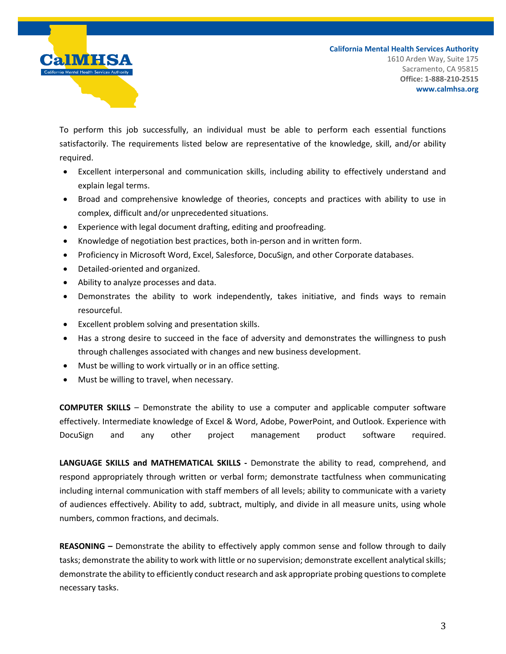

To perform this job successfully, an individual must be able to perform each essential functions satisfactorily. The requirements listed below are representative of the knowledge, skill, and/or ability required.

- Excellent interpersonal and communication skills, including ability to effectively understand and explain legal terms.
- Broad and comprehensive knowledge of theories, concepts and practices with ability to use in complex, difficult and/or unprecedented situations.
- Experience with legal document drafting, editing and proofreading.
- Knowledge of negotiation best practices, both in-person and in written form.
- Proficiency in Microsoft Word, Excel, Salesforce, DocuSign, and other Corporate databases.
- Detailed-oriented and organized.
- Ability to analyze processes and data.
- Demonstrates the ability to work independently, takes initiative, and finds ways to remain resourceful.
- Excellent problem solving and presentation skills.
- Has a strong desire to succeed in the face of adversity and demonstrates the willingness to push through challenges associated with changes and new business development.
- Must be willing to work virtually or in an office setting.
- Must be willing to travel, when necessary.

**COMPUTER SKILLS** – Demonstrate the ability to use a computer and applicable computer software effectively. Intermediate knowledge of Excel & Word, Adobe, PowerPoint, and Outlook. Experience with DocuSign and any other project management product software required.

**LANGUAGE SKILLS and MATHEMATICAL SKILLS -** Demonstrate the ability to read, comprehend, and respond appropriately through written or verbal form; demonstrate tactfulness when communicating including internal communication with staff members of all levels; ability to communicate with a variety of audiences effectively. Ability to add, subtract, multiply, and divide in all measure units, using whole numbers, common fractions, and decimals.

**REASONING –** Demonstrate the ability to effectively apply common sense and follow through to daily tasks; demonstrate the ability to work with little or no supervision; demonstrate excellent analytical skills; demonstrate the ability to efficiently conduct research and ask appropriate probing questions to complete necessary tasks.